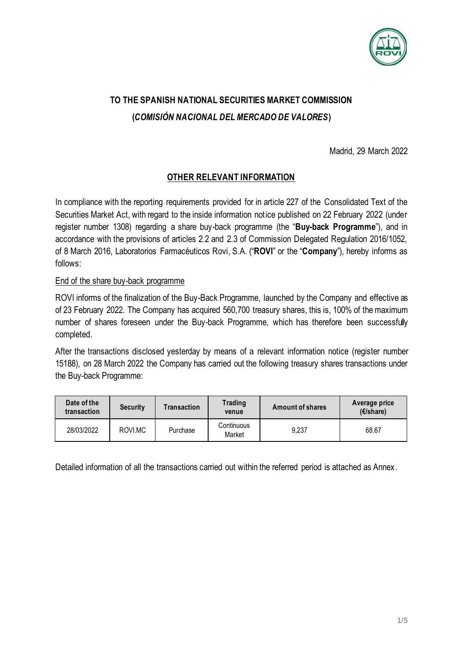

# **TO THE SPANISH NATIONAL SECURITIES MARKET COMMISSION (***COMISIÓN NACIONAL DEL MERCADO DE VALORES***)**

Madrid, 29 March 2022

### **OTHER RELEVANT INFORMATION**

In compliance with the reporting requirements provided for in article 227 of the Consolidated Text of the Securities Market Act, with regard to the inside information notice published on 22 February 2022 (under register number 1308) regarding a share buy-back programme (the "**Buy-back Programme**"), and in accordance with the provisions of articles 2.2 and 2.3 of Commission Delegated Regulation 2016/1052, of 8 March 2016, Laboratorios Farmacéuticos Rovi, S.A. ("**ROVI**" or the "**Company**"), hereby informs as follows:

#### End of the share buy-back programme

ROVI informs of the finalization of the Buy-Back Programme, launched by the Company and effective as of 23 February 2022. The Company has acquired 560,700 treasury shares, this is, 100% of the maximum number of shares foreseen under the Buy-back Programme, which has therefore been successfully completed.

After the transactions disclosed yesterday by means of a relevant information notice (register number 15188), on 28 March 2022 the Company has carried out the following treasury shares transactions under the Buy-back Programme:

| Date of the<br>transaction | <b>Security</b> | Transaction | Trading<br>venue     | Amount of shares | Average price<br>$(E/\sharepsilon)$ |
|----------------------------|-----------------|-------------|----------------------|------------------|-------------------------------------|
| 28/03/2022                 | ROVI.MC         | Purchase    | Continuous<br>Market | 9.237            | 68.67                               |

Detailed information of all the transactions carried out within the referred period is attached as Annex.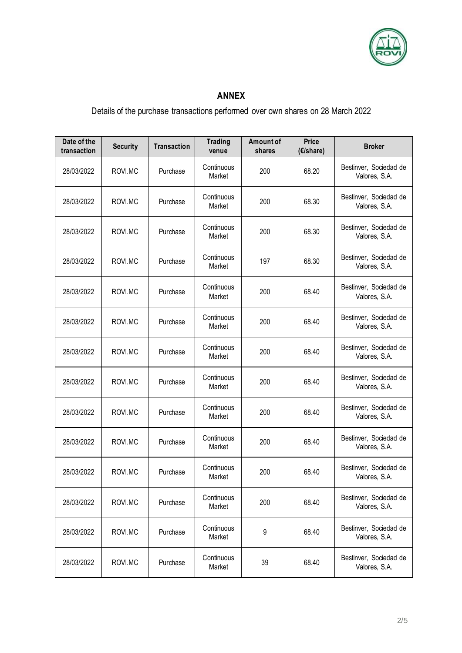

## **ANNEX**

# Details of the purchase transactions performed over own shares on 28 March 2022

| Date of the<br>transaction | <b>Security</b> | <b>Transaction</b> | <b>Trading</b><br>venue | Amount of<br>shares | <b>Price</b><br>(€/share) | <b>Broker</b>                           |
|----------------------------|-----------------|--------------------|-------------------------|---------------------|---------------------------|-----------------------------------------|
| 28/03/2022                 | ROVI.MC         | Purchase           | Continuous<br>Market    | 200                 | 68.20                     | Bestinver, Sociedad de<br>Valores, S.A. |
| 28/03/2022                 | ROVI.MC         | Purchase           | Continuous<br>Market    | 200                 | 68.30                     | Bestinver, Sociedad de<br>Valores, S.A. |
| 28/03/2022                 | ROVI.MC         | Purchase           | Continuous<br>Market    | 200                 | 68.30                     | Bestinver, Sociedad de<br>Valores, S.A. |
| 28/03/2022                 | ROVI.MC         | Purchase           | Continuous<br>Market    | 197                 | 68.30                     | Bestinver, Sociedad de<br>Valores, S.A. |
| 28/03/2022                 | ROVI.MC         | Purchase           | Continuous<br>Market    | 200                 | 68.40                     | Bestinver, Sociedad de<br>Valores, S.A. |
| 28/03/2022                 | ROVI.MC         | Purchase           | Continuous<br>Market    | 200                 | 68.40                     | Bestinver, Sociedad de<br>Valores, S.A. |
| 28/03/2022                 | ROVI.MC         | Purchase           | Continuous<br>Market    | 200                 | 68.40                     | Bestinver, Sociedad de<br>Valores, S.A. |
| 28/03/2022                 | ROVI.MC         | Purchase           | Continuous<br>Market    | 200                 | 68.40                     | Bestinver, Sociedad de<br>Valores, S.A. |
| 28/03/2022                 | ROVI.MC         | Purchase           | Continuous<br>Market    | 200                 | 68.40                     | Bestinver, Sociedad de<br>Valores, S.A. |
| 28/03/2022                 | ROVI.MC         | Purchase           | Continuous<br>Market    | 200                 | 68.40                     | Bestinver, Sociedad de<br>Valores, S.A. |
| 28/03/2022                 | ROVI.MC         | Purchase           | Continuous<br>Market    | 200                 | 68.40                     | Bestinver, Sociedad de<br>Valores, S.A. |
| 28/03/2022                 | ROVI.MC         | Purchase           | Continuous<br>Market    | 200                 | 68.40                     | Bestinver, Sociedad de<br>Valores, S.A. |
| 28/03/2022                 | ROVI.MC         | Purchase           | Continuous<br>Market    | 9                   | 68.40                     | Bestinver, Sociedad de<br>Valores, S.A. |
| 28/03/2022                 | ROVI.MC         | Purchase           | Continuous<br>Market    | 39                  | 68.40                     | Bestinver, Sociedad de<br>Valores, S.A. |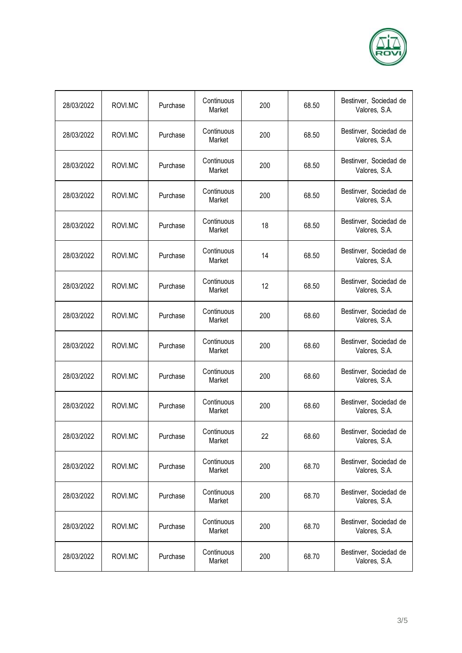

| 28/03/2022 | ROVI.MC | Purchase | Continuous<br>Market | 200 | 68.50 | Bestinver, Sociedad de<br>Valores, S.A. |
|------------|---------|----------|----------------------|-----|-------|-----------------------------------------|
| 28/03/2022 | ROVI.MC | Purchase | Continuous<br>Market | 200 | 68.50 | Bestinver, Sociedad de<br>Valores, S.A. |
| 28/03/2022 | ROVI.MC | Purchase | Continuous<br>Market | 200 | 68.50 | Bestinver, Sociedad de<br>Valores, S.A. |
| 28/03/2022 | ROVI.MC | Purchase | Continuous<br>Market | 200 | 68.50 | Bestinver, Sociedad de<br>Valores, S.A. |
| 28/03/2022 | ROVI.MC | Purchase | Continuous<br>Market | 18  | 68.50 | Bestinver, Sociedad de<br>Valores, S.A. |
| 28/03/2022 | ROVI.MC | Purchase | Continuous<br>Market | 14  | 68.50 | Bestinver, Sociedad de<br>Valores, S.A. |
| 28/03/2022 | ROVI.MC | Purchase | Continuous<br>Market | 12  | 68.50 | Bestinver, Sociedad de<br>Valores, S.A. |
| 28/03/2022 | ROVI.MC | Purchase | Continuous<br>Market | 200 | 68.60 | Bestinver, Sociedad de<br>Valores, S.A. |
| 28/03/2022 | ROVI.MC | Purchase | Continuous<br>Market | 200 | 68.60 | Bestinver, Sociedad de<br>Valores, S.A. |
| 28/03/2022 | ROVI.MC | Purchase | Continuous<br>Market | 200 | 68.60 | Bestinver, Sociedad de<br>Valores, S.A. |
| 28/03/2022 | ROVI.MC | Purchase | Continuous<br>Market | 200 | 68.60 | Bestinver, Sociedad de<br>Valores, S.A. |
| 28/03/2022 | ROVI.MC | Purchase | Continuous<br>Market | 22  | 68.60 | Bestinver, Sociedad de<br>Valores, S.A. |
| 28/03/2022 | ROVI.MC | Purchase | Continuous<br>Market | 200 | 68.70 | Bestinver, Sociedad de<br>Valores, S.A. |
| 28/03/2022 | ROVI.MC | Purchase | Continuous<br>Market | 200 | 68.70 | Bestinver, Sociedad de<br>Valores, S.A. |
| 28/03/2022 | ROVI.MC | Purchase | Continuous<br>Market | 200 | 68.70 | Bestinver, Sociedad de<br>Valores, S.A. |
| 28/03/2022 | ROVI.MC | Purchase | Continuous<br>Market | 200 | 68.70 | Bestinver, Sociedad de<br>Valores, S.A. |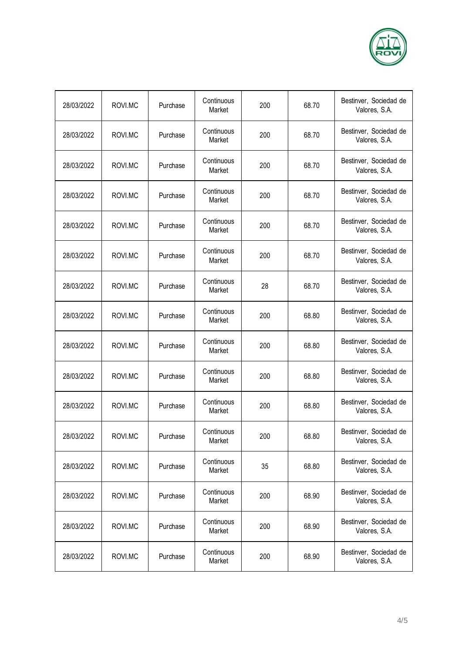

| 28/03/2022 | ROVI.MC | Purchase | Continuous<br>Market | 200 | 68.70 | Bestinver, Sociedad de<br>Valores, S.A. |
|------------|---------|----------|----------------------|-----|-------|-----------------------------------------|
| 28/03/2022 | ROVI.MC | Purchase | Continuous<br>Market | 200 | 68.70 | Bestinver, Sociedad de<br>Valores, S.A. |
| 28/03/2022 | ROVI.MC | Purchase | Continuous<br>Market | 200 | 68.70 | Bestinver, Sociedad de<br>Valores, S.A. |
| 28/03/2022 | ROVI.MC | Purchase | Continuous<br>Market | 200 | 68.70 | Bestinver, Sociedad de<br>Valores, S.A. |
| 28/03/2022 | ROVI.MC | Purchase | Continuous<br>Market | 200 | 68.70 | Bestinver, Sociedad de<br>Valores, S.A. |
| 28/03/2022 | ROVI.MC | Purchase | Continuous<br>Market | 200 | 68.70 | Bestinver, Sociedad de<br>Valores, S.A. |
| 28/03/2022 | ROVI.MC | Purchase | Continuous<br>Market | 28  | 68.70 | Bestinver, Sociedad de<br>Valores, S.A. |
| 28/03/2022 | ROVI.MC | Purchase | Continuous<br>Market | 200 | 68.80 | Bestinver, Sociedad de<br>Valores, S.A. |
| 28/03/2022 | ROVI.MC | Purchase | Continuous<br>Market | 200 | 68.80 | Bestinver, Sociedad de<br>Valores, S.A. |
| 28/03/2022 | ROVI.MC | Purchase | Continuous<br>Market | 200 | 68.80 | Bestinver, Sociedad de<br>Valores, S.A. |
| 28/03/2022 | ROVI.MC | Purchase | Continuous<br>Market | 200 | 68.80 | Bestinver, Sociedad de<br>Valores, S.A. |
| 28/03/2022 | ROVI.MC | Purchase | Continuous<br>Market | 200 | 68.80 | Bestinver, Sociedad de<br>Valores, S.A. |
| 28/03/2022 | ROVI.MC | Purchase | Continuous<br>Market | 35  | 68.80 | Bestinver, Sociedad de<br>Valores, S.A. |
| 28/03/2022 | ROVI.MC | Purchase | Continuous<br>Market | 200 | 68.90 | Bestinver, Sociedad de<br>Valores, S.A. |
| 28/03/2022 | ROVI.MC | Purchase | Continuous<br>Market | 200 | 68.90 | Bestinver, Sociedad de<br>Valores, S.A. |
| 28/03/2022 | ROVI.MC | Purchase | Continuous<br>Market | 200 | 68.90 | Bestinver, Sociedad de<br>Valores, S.A. |